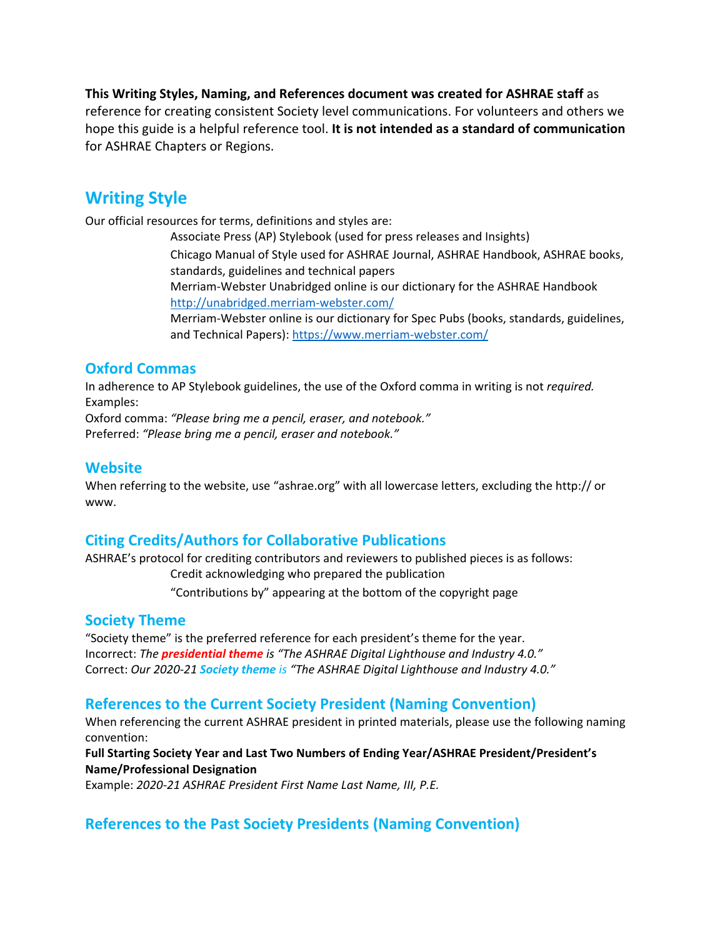**This Writing Styles, Naming, and References document was created for ASHRAE staff** as reference for creating consistent Society level communications. For volunteers and others we hope this guide is a helpful reference tool. **It is not intended as a standard of communication** for ASHRAE Chapters or Regions.

# **Writing Style**

Our official resources for terms, definitions and styles are:

 Associate Press (AP) Stylebook (used for press releases and Insights) Chicago Manual of Style used for ASHRAE Journal, ASHRAE Handbook, ASHRAE books, standards, guidelines and technical papers Merriam-Webster Unabridged online is our dictionary for the ASHRAE Handbook http://unabridged.merriam-webster.com/ Merriam-Webster online is our dictionary for Spec Pubs (books, standards, guidelines,

and Technical Papers): https://www.merriam-webster.com/

#### **Oxford Commas**

In adherence to AP Stylebook guidelines, the use of the Oxford comma in writing is not *required.*  Examples:

Oxford comma: *"Please bring me a pencil, eraser, and notebook."* Preferred: *"Please bring me a pencil, eraser and notebook."* 

#### **Website**

When referring to the website, use "ashrae.org" with all lowercase letters, excluding the http:// or www.

# **Citing Credits/Authors for Collaborative Publications**

ASHRAE's protocol for crediting contributors and reviewers to published pieces is as follows: Credit acknowledging who prepared the publication "Contributions by" appearing at the bottom of the copyright page

#### **Society Theme**

"Society theme" is the preferred reference for each president's theme for the year. Incorrect: *The presidential theme is "The ASHRAE Digital Lighthouse and Industry 4.0."* Correct: *Our 2020-21 Society theme is "The ASHRAE Digital Lighthouse and Industry 4.0."* 

#### **References to the Current Society President (Naming Convention)**

When referencing the current ASHRAE president in printed materials, please use the following naming convention:

**Full Starting Society Year and Last Two Numbers of Ending Year/ASHRAE President/President's Name/Professional Designation** 

Example: *2020-21 ASHRAE President First Name Last Name, III, P.E.* 

#### **References to the Past Society Presidents (Naming Convention)**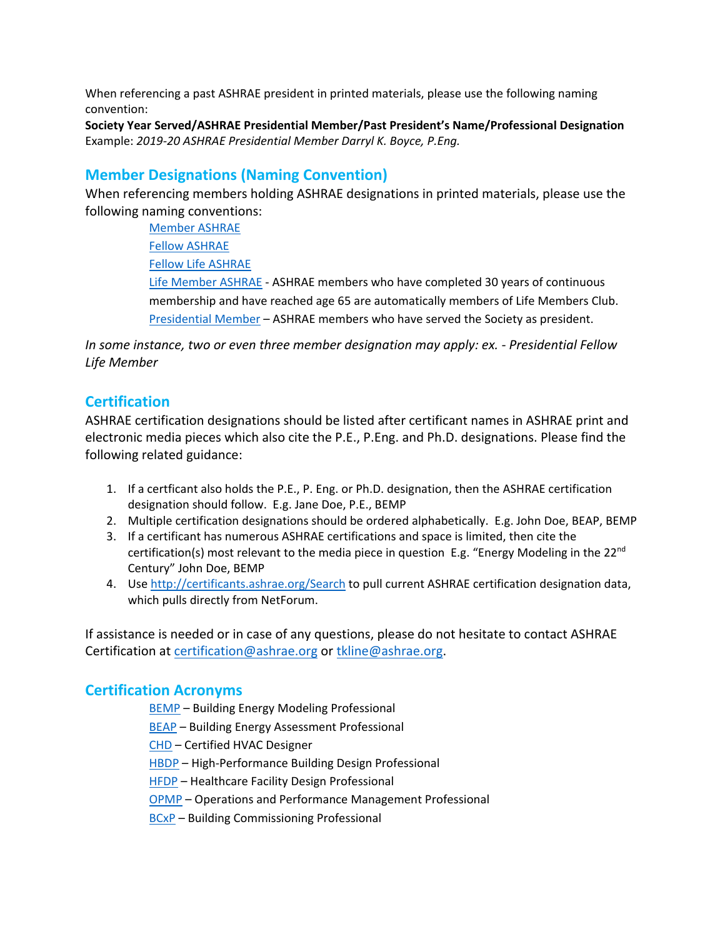When referencing a past ASHRAE president in printed materials, please use the following naming convention:

**Society Year Served/ASHRAE Presidential Member/Past President's Name/Professional Designation**  Example: *2019-20 ASHRAE Presidential Member Darryl K. Boyce, P.Eng.* 

# **Member Designations (Naming Convention)**

When referencing members holding ASHRAE designations in printed materials, please use the following naming conventions:

> Member ASHRAE Fellow ASHRAE Fellow Life ASHRAE Life Member ASHRAE - ASHRAE members who have completed 30 years of continuous membership and have reached age 65 are automatically members of Life Members Club. Presidential Member – ASHRAE members who have served the Society as president.

*In some instance, two or even three member designation may apply: ex. - Presidential Fellow Life Member* 

# **Certification**

ASHRAE certification designations should be listed after certificant names in ASHRAE print and electronic media pieces which also cite the P.E., P.Eng. and Ph.D. designations. Please find the following related guidance:

- 1. If a certficant also holds the P.E., P. Eng. or Ph.D. designation, then the ASHRAE certification designation should follow. E.g. Jane Doe, P.E., BEMP
- 2. Multiple certification designations should be ordered alphabetically. E.g. John Doe, BEAP, BEMP
- 3. If a certificant has numerous ASHRAE certifications and space is limited, then cite the certification(s) most relevant to the media piece in question E.g. "Energy Modeling in the 22<sup>nd</sup> Century" John Doe, BEMP
- 4. Use http://certificants.ashrae.org/Search to pull current ASHRAE certification designation data, which pulls directly from NetForum.

If assistance is needed or in case of any questions, please do not hesitate to contact ASHRAE Certification at certification@ashrae.org or tkline@ashrae.org.

#### **Certification Acronyms**

BEMP – Building Energy Modeling Professional

BEAP – Building Energy Assessment Professional

CHD – Certified HVAC Designer

HBDP – High-Performance Building Design Professional

HFDP – Healthcare Facility Design Professional

OPMP – Operations and Performance Management Professional

BCxP – Building Commissioning Professional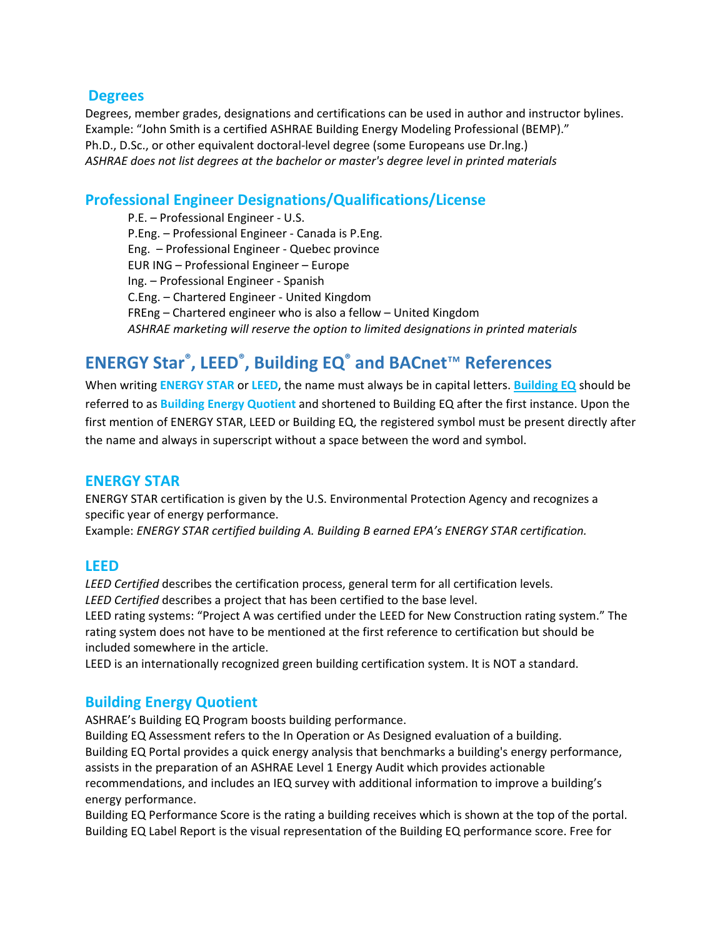#### **Degrees**

Degrees, member grades, designations and certifications can be used in author and instructor bylines. Example: "John Smith is a certified ASHRAE Building Energy Modeling Professional (BEMP)." Ph.D., D.Sc., or other equivalent doctoral-level degree (some Europeans use Dr.lng.) *ASHRAE does not list degrees at the bachelor or master's degree level in printed materials*

# **Professional Engineer Designations/Qualifications/License**

P.E. – Professional Engineer - U.S. P.Eng. – Professional Engineer - Canada is P.Eng. Eng. – Professional Engineer - Quebec province EUR ING – Professional Engineer – Europe Ing. – Professional Engineer - Spanish C.Eng. – Chartered Engineer - United Kingdom FREng – Chartered engineer who is also a fellow – United Kingdom *ASHRAE marketing will reserve the option to limited designations in printed materials* 

# **ENERGY Star®, LEED®, Building EQ® and BACnet**™ **References**

When writing **ENERGY STAR** or **LEED**, the name must always be in capital letters. **Building EQ** should be referred to as **Building Energy Quotient** and shortened to Building EQ after the first instance. Upon the first mention of ENERGY STAR, LEED or Building EQ, the registered symbol must be present directly after the name and always in superscript without a space between the word and symbol.

#### **ENERGY STAR**

ENERGY STAR certification is given by the U.S. Environmental Protection Agency and recognizes a specific year of energy performance.

Example: *ENERGY STAR certified building A. Building B earned EPA's ENERGY STAR certification.* 

#### **LEED**

*LEED Certified* describes the certification process, general term for all certification levels. *LEED Certified* describes a project that has been certified to the base level.

LEED rating systems: "Project A was certified under the LEED for New Construction rating system." The rating system does not have to be mentioned at the first reference to certification but should be included somewhere in the article.

LEED is an internationally recognized green building certification system. It is NOT a standard.

#### **Building Energy Quotient**

ASHRAE's Building EQ Program boosts building performance.

Building EQ Assessment refers to the In Operation or As Designed evaluation of a building. Building EQ Portal provides a quick energy analysis that benchmarks a building's energy performance, assists in the preparation of an ASHRAE Level 1 Energy Audit which provides actionable recommendations, and includes an IEQ survey with additional information to improve a building's energy performance.

Building EQ Performance Score is the rating a building receives which is shown at the top of the portal. Building EQ Label Report is the visual representation of the Building EQ performance score. Free for